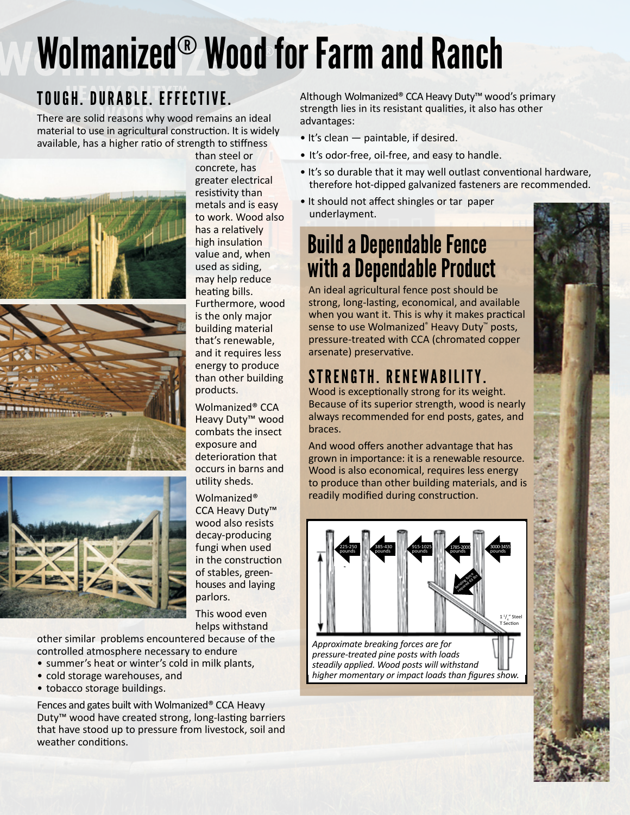# Wolmanized® Wood for Farm and Ranch

## TOUGH. DURABLE. EFFECTIVE.

There are solid reasons why wood remains an ideal material to use in agricultural construction. It is widely available, has a higher ratio of strength to stiffness





than steel or concrete, has greater electrical resistivity than metals and is easy to work. Wood also has a relatively high insulation value and, when used as siding, may help reduce heating bills. Furthermore, wood is the only major building material that's renewable, and it requires less energy to produce than other building products.

Wolmanized® CCA Heavy Duty™ wood combats the insect exposure and deterioration that occurs in barns and utility sheds.

Wolmanized® CCA Heavy Duty™ wood also resists decay-producing fungi when used in the construction of stables, greenhouses and laying parlors.

This wood even helps withstand

other similar problems encountered because of the controlled atmosphere necessary to endure

- summer's heat or winter's cold in milk plants,
- cold storage warehouses, and
- tobacco storage buildings.

Fences and gates built with Wolmanized® CCA Heavy Duty™ wood have created strong, long-lasting barriers that have stood up to pressure from livestock, soil and weather conditions.

Although Wolmanized® CCA Heavy Duty™ wood's primary strength lies in its resistant qualities, it also has other advantages:

- It's clean paintable, if desired.
- It's odor-free, oil-free, and easy to handle.
- It's so durable that it may well outlast conventional hardware, therefore hot-dipped galvanized fasteners are recommended.
- It should not affect shingles or tar paper underlayment.

# Build a Dependable Fence with a Dependable Product

An ideal agricultural fence post should be strong, long-lasting, economical, and available when you want it. This is why it makes practical sense to use Wolmanized® Heavy Duty™ posts, pressure-treated with CCA (chromated copper arsenate) preservative.

## STRENGTH. RENEWABILITY.

Wood is exceptionally strong for its weight. Because of its superior strength, wood is nearly always recommended for end posts, gates, and braces.

And wood offers another advantage that has grown in importance: it is a renewable resource. Wood is also economical, requires less energy to produce than other building materials, and is readily modified during construction.



*Approximate breaking forces are for pressure-treated pine posts with loads steadily applied. Wood posts will withstand higher momentary or impact loads than figures show.*